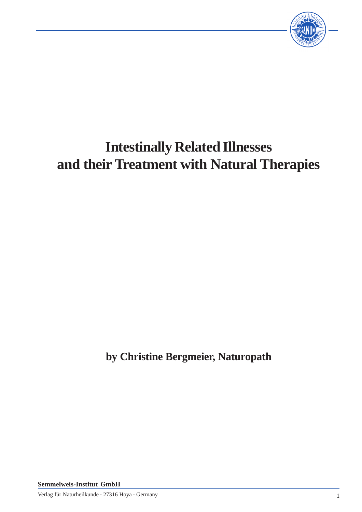

# **Intestinally Related Illnesses and their Treatment with Natural Therapies**

**by Christine Bergmeier, Naturopath**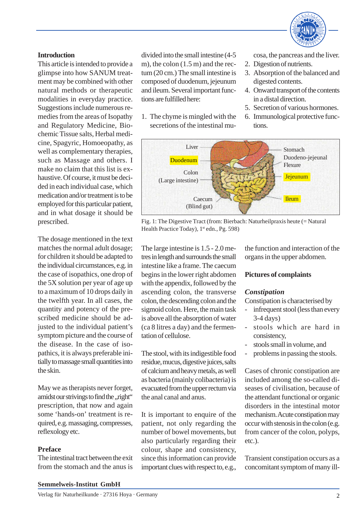

## **Introduction**

This article is intended to provide a glimpse into how SANUM treatment may be combined with other natural methods or therapeutic modalities in everyday practice. Suggestions include numerous remedies from the areas of Isopathy and Regulatory Medicine, Biochemic Tissue salts, Herbal medicine, Spagyric, Homoeopathy, as well as complementary therapies, such as Massage and others. I make no claim that this list is exhaustive. Of course, it must be decided in each individual case, which medication and/or treatment is to be employed for this particular patient, and in what dosage it should be prescribed.

The dosage mentioned in the text matches the normal adult dosage; for children it should be adapted to the individual circumstances, e.g. in the case of isopathics, one drop of the 5X solution per year of age up to a maximum of 10 drops daily in the twelfth year. In all cases, the quantity and potency of the prescribed medicine should be adjusted to the individual patient's symptom picture and the course of the disease. In the case of isopathics, it is always preferable initially to massage small quantities into the skin.

May we as therapists never forget, amidst our strivings to find the "right" prescription, that now and again some 'hands-on' treatment is required, e.g. massaging, compresses, reflexology etc.

# **Preface**

The intestinal tract between the exit from the stomach and the anus is

divided into the small intestine (4-5 m), the colon (1.5 m) and the rectum (20 cm.) The small intestine is composed of duodenum, jejeunum and ileum. Several important functions are fulfilled here:

1. The chyme is mingled with the secretions of the intestinal mucosa, the pancreas and the liver.

- 2. Digestion of nutrients.
- 3. Absorption of the balanced and digested contents.
- 4. Onward transport of the contents in a distal direction.
- 5. Secretion of various hormones.
- 6. Immunological protective functions.



Fig. 1: The Digestive Tract (from: Bierbach: Naturheilpraxis heute (= Natural Health Practice Today), 1<sup>st</sup> edn., Pg. 598)

The large intestine is 1.5 - 2.0 metres in length and surrounds the small intestine like a frame. The caecum begins in the lower right abdomen with the appendix, followed by the ascending colon, the transverse colon, the descending colon and the sigmoid colon. Here, the main task is above all the absorption of water (ca 8 litres a day) and the fermentation of cellulose.

The stool, with its indigestible food residue, mucus, digestive juices, salts of calcium and heavy metals, as well as bacteria (mainly colibacteria) is evacuated from the upper rectum via the anal canal and anus.

It is important to enquire of the patient, not only regarding the number of bowel movements, but also particularly regarding their colour, shape and consistency, since this information can provide important clues with respect to, e.g.,

the function and interaction of the organs in the upper abdomen.

# **Pictures of complaints**

## *Constipation*

Constipation is characterised by

- infrequent stool (less than every 3-4 days)
- stools which are hard in consistency,
- stools small in volume, and
- problems in passing the stools.

Cases of chronic constipation are included among the so-called diseases of civilisation, because of the attendant functional or organic disorders in the intestinal motor mechanism. Acute constipation may occur with stenosis in the colon (e.g. from cancer of the colon, polyps, etc.).

Transient constipation occurs as a concomitant symptom of many ill-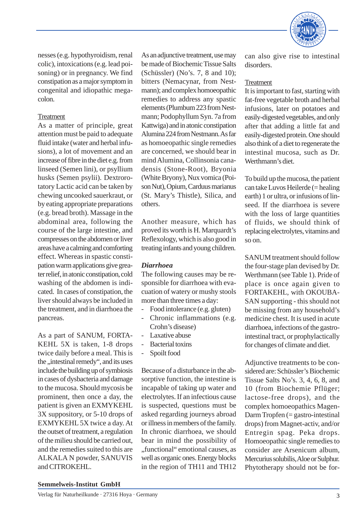

nesses (e.g. hypothyroidism, renal colic), intoxications (e.g. lead poisoning) or in pregnancy. We find constipation as a major symptom in congenital and idiopathic megacolon.

# Treatment

As a matter of principle, great attention must be paid to adequate fluid intake (water and herbal infusions), a lot of movement and an increase of fibre in the diet e.g. from linseed (Semen lini), or psyllium husks (Semen psylii). Dextrorotatory Lactic acid can be taken by chewing uncooked sauerkraut, or by eating appropriate preparations (e.g. bread broth). Massage in the abdominal area, following the course of the large intestine, and compresses on the abdomen or liver areas have a calming and comforting effect. Whereas in spastic constipation warm applications give greater relief, in atonic constipation, cold washing of the abdomen is indicated. In cases of constipation, the liver should always be included in the treatment, and in diarrhoea the pancreas.

As a part of SANUM, FORTA-KEHL 5X is taken, 1-8 drops twice daily before a meal. This is the ,,intestinal remedy", and its uses include the building up of symbiosis in cases of dysbacteria and damage to the mucosa. Should mycosis be prominent, then once a day, the patient is given an EXMYKEHL 3X suppository, or 5-10 drops of EXMYKEHL 5X twice a day. At the outset of treatment, a regulation of the milieu should be carried out, and the remedies suited to this are ALKALA N powder, SANUVIS and CITROKEHL.

As an adjunctive treatment, use may be made of Biochemic Tissue Salts (Schüssler) (No's. 7, 8 and 10); bitters (Nemacynar, from Nestmann); and complex homoeopathic remedies to address any spastic elements (Plumbum 223 from Nestmann; Podophyllum Syn. 7a from Kattwiga) and in atonic constipation Alumina 224 from Nestmann. As far as homoeopathic single remedies are concerned, we should bear in mind Alumina, Collinsonia canadensis (Stone-Root), Bryonia (White Bryony), Nux vomica (Poison Nut), Opium, Carduus marianus (St. Mary's Thistle), Silica, and others.

Another measure, which has proved its worth is H. Marquardt's Reflexology, which is also good in treating infants and young children.

## *Diarrhoea*

The following causes may be responsible for diarrhoea with evacuation of watery or mushy stools more than three times a day:

- Food intolerance (e.g. gluten)
- Chronic inflammations (e.g. Crohn's disease)
- Laxative abuse
- Bacterial toxins
- Spoilt food

Because of a disturbance in the absorptive function, the intestine is incapable of taking up water and electrolytes. If an infectious cause is suspected, questions must be asked regarding journeys abroad or illness in members of the family. In chronic diarrhoea, we should bear in mind the possibility of "functional" emotional causes, as well as organic ones. Energy blocks in the region of TH11 and TH12 can also give rise to intestinal disorders.

# Treatment

It is important to fast, starting with fat-free vegetable broth and herbal infusions, later on potatoes and easily-digested vegetables, and only after that adding a little fat and easily-digested protein. One should also think of a diet to regenerate the intestinal mucosa, such as Dr. Werthmann's diet.

To build up the mucosa, the patient can take Luvos Heilerde (= healing earth) 1 or ultra, or infusions of linseed. If the diarrhoea is severe with the loss of large quantities of fluids, we should think of replacing electrolytes, vitamins and so on.

SANUM treatment should follow the four-stage plan devised by Dr. Werthmann (see Table 1). Pride of place is once again given to FORTAKEHL, with OKOUBA-SAN supporting - this should not be missing from any household's medicine chest. It is used in acute diarrhoea, infections of the gastrointestinal tract, or prophylactically for changes of climate and diet.

Adjunctive treatments to be considered are: Schüssler's Biochemic Tissue Salts No's. 3, 4, 6, 8, and 10 (from Biochemie Pflüger; lactose-free drops), and the complex homoeopathics Magen-Darm Tropfen (= gastro-intestinal drops) from Magnet-activ, and/or Entregin spag. Peka drops. Homoeopathic single remedies to consider are Arsenicum album, Mercurius solubilis, Aloe or Sulphur. Phytotherapy should not be for-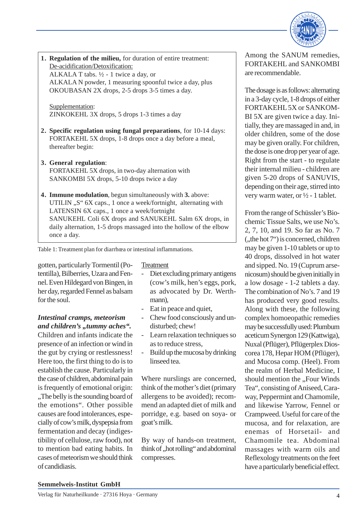

**1. Regulation of the milieu,** for duration of entire treatment: De-acidification/Detoxification:

ALKALA T tabs.  $\frac{1}{2}$  - 1 twice a day, or ALKALA N powder, 1 measuring spoonful twice a day, plus OKOUBASAN 2X drops, 2-5 drops 3-5 times a day.

Supplementation: ZINKOKEHL 3X drops, 5 drops 1-3 times a day

- **2. Specific regulation using fungal preparations**, for 10-14 days: FORTAKEHL 5X drops, 1-8 drops once a day before a meal, thereafter begin:
- **3. General regulation**: FORTAKEHL 5X drops, in two-day alternation with SANKOMBI 5X drops, 5-10 drops twice a day
- **4. Immune modulation**, begun simultaneously with **3.** above: UTILIN "S" 6X caps., 1 once a week/fortnight, alternating with LATENSIN 6X caps., 1 once a week/fortnight SANUKEHL Coli 6X drops and SANUKEHL Salm 6X drops, in daily alternation, 1-5 drops massaged into the hollow of the elbow once a day.

Table 1: Treatment plan for diarrhœa or intestinal inflammations.

gotten, particularly Tormentil (Potentilla), Bilberries, Uzara and Fennel. Even Hildegard von Bingen, in her day, regarded Fennel as balsam for the soul.

# *Intestinal cramps, meteorism and children's ,,tummy aches".*

Children and infants indicate the presence of an infection or wind in the gut by crying or restlessness! Here too, the first thing to do is to establish the cause. Particularly in the case of children, abdominal pain is frequently of emotional origin: "The belly is the sounding board of the emotions". Other possible causes are food intolerances, especially of cow's milk, dyspepsia from fermentation and decay (indigestibility of cellulose, raw food), not to mention bad eating habits. In cases of meteorism we should think of candidiasis.

# **Treatment**

- Diet excluding primary antigens (cow's milk, hen's eggs, pork, as advocated by Dr. Werthmann).
- Eat in peace and quiet,
- Chew food consciously and undisturbed; chew!
- Learn relaxation techniques so as to reduce stress,
- Build up the mucosa by drinking linseed tea.

Where nurslings are concerned, think of the mother's diet (primary allergens to be avoided); recommend an adapted diet of milk and porridge, e.g. based on soya- or goat's milk.

By way of hands-on treatment, think of "hot rolling" and abdominal compresses.

Among the SANUM remedies, FORTAKEHL and SANKOMBI are recommendable.

The dosage is as follows: alternating in a 3-day cycle, 1-8 drops of either FORTAKEHL 5X or SANKOM-BI 5X are given twice a day. Initially, they are massaged in and, in older children, some of the dose may be given orally. For children, the dose is one drop per year of age. Right from the start - to regulate their internal milieu - children are given 5-20 drops of SANUVIS, depending on their age, stirred into very warm water, or  $\frac{1}{2}$  - 1 tablet.

From the range of Schüssler's Biochemic Tissue Salts, we use No's. 2, 7, 10, and 19. So far as No. 7  $($ , the hot  $7^{\circ}$ ) is concerned, children may be given 1-10 tablets or up to 40 drops, dissolved in hot water and sipped. No. 19 (Cuprum arsenicosum) should be given initially in a low dosage - 1-2 tablets a day. The combination of No's. 7 and 19 has produced very good results. Along with these, the following complex homoeopathic remedies may be successfully used: Plumbum aceticum Synergon 129 (Kattwiga), Nuxal (Pflüger), Pflügerplex Dioscorea 178, Hepar HOM (Pflüger), and Mucosa comp. (Heel). From the realm of Herbal Medicine, I should mention the "Four Winds Tea", consisting of Aniseed, Caraway, Peppermint and Chamomile, and likewise Yarrow, Fennel or Crampweed. Useful for care of the mucosa, and for relaxation, are enemas of Horsetail- and Chamomile tea. Abdominal massages with warm oils and Reflexology treatments on the feet have a particularly beneficial effect.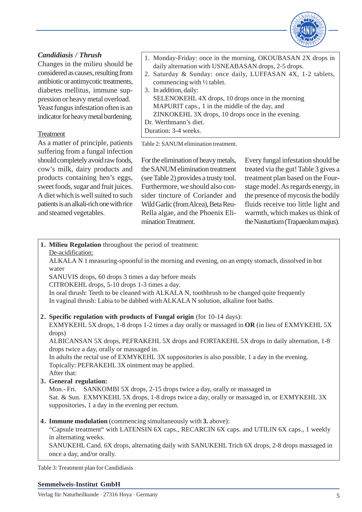

# *Candidiasis / Thrush*

Changes in the milieu should be considered as causes, resulting from antibiotic or antimycotic treatments, diabetes mellitus, immune suppression or heavy metal overload. Yeast fungus infestation often is an indicator for heavy metal burdening.

# Treatment

As a matter of principle, patients suffering from a fungal infection should completely avoid raw foods, cow's milk, dairy products and products containing hen's eggs, sweet foods, sugar and fruit juices. A diet which is well suited to such patients is an alkali-rich one with rice and steamed vegetables.

- 1. Monday-Friday: once in the morning, OKOUBASAN 2X drops in daily alternation with USNEABASAN drops, 2-5 drops.
- 2. Saturday & Sunday: once daily, LUFFASAN 4X, 1-2 tablets, commencing with ½ tablet.
- 3. In addition, daily: SELENOKEHL 4X drops, 10 drops once in the morning MAPURIT caps., 1 in the middle of the day, and ZINKOKEHL 3X drops, 10 drops once in the evening. Dr. Werthmann's diet.

Duration: 3-4 weeks.

Table 2: SANUM elimination treatment.

For the elimination of heavy metals, the SANUM elimination treatment (see Table 2) provides a trusty tool. Furthermore, we should also consider tincture of Coriander and Wild Garlic (from Alcea), Beta Reu-Rella algae, and the Phoenix Elimination Treatment.

Every fungal infestation should be treated via the gut! Table 3 gives a treatment plan based on the Fourstage model. As regards energy, in the presence of mycosis the bodily fluids receive too little light and warmth, which makes us think of the Nasturtium (Trapaeolum majus).

**1. Milieu Regulation** throughout the period of treatment:

De-acidification:

ALKALA N 1 measuring-spoonful in the morning and evening, on an empty stomach, dissolved in hot water

SANUVIS drops, 60 drops 3 times a day before meals

CITROKEHL drops, 5-10 drops 1-3 times a day.

In oral thrush: Teeth to be cleaned with ALKALA N, toothbrush to be changed quite frequently In vaginal thrush: Labia to be dabbed with ALKALA N solution, alkaline foot baths.

**2. Specific regulation with products of Fungal origin** (for 10-14 days):

EXMYKEHL 5X drops, 1-8 drops 1-2 times a day orally or massaged in **OR** (in lieu of EXMYKEHL 5X drops)

ALBICANSAN 5X drops, PEFRAKEHL 5X drops and FORTAKEHL 5X drops in daily alternation, 1-8 drops twice a day, orally or massaged in.

In adults the rectal use of EXMYKEHL 3X suppositories is also possible, 1 a day in the evening. Topically: PEFRAKEHL 3X ointment may be applied.

- After that:
- **3. General regulation:**

Mon.- Fri. SANKOMBI 5X drops, 2-15 drops twice a day, orally or massaged in Sat. & Sun. EXMYKEHL 5X drops, 1-8 drops twice a day, orally or massaged in, or EXMYKEHL 3X suppositories, 1 a day in the evening per rectum.

**4. Immune modulation** (commencing simultaneously with **3.** above):

"Capsule treatment" with LATENSIN 6X caps., RECARCIN 6X caps. and UTILIN 6X caps., 1 weekly in alternating weeks.

SANUKEHL Cand. 6X drops, alternating daily with SANUKEHL Trich 6X drops, 2-8 drops massaged in once a day, and/or orally.

Table 3: Treatment plan for Candidiasis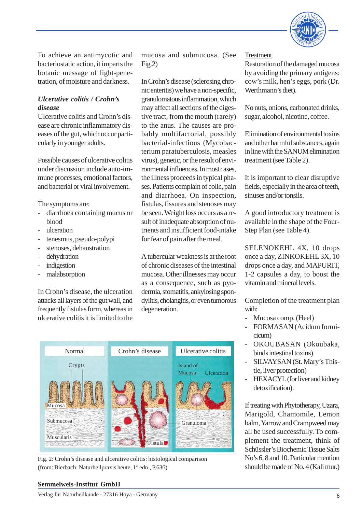

To achieve an antimycotic and bacteriostatic action, it imparts the botanic message of light-penetration, of moisture and darkness.

# *Ulcerative colitis / Crohn's disease*

Ulcerative colitis and Crohn's disease are chronic inflammatory diseases of the gut, which occur particularly in younger adults.

Possible causes of ulcerative colitis under discussion include auto-immune processes, emotional factors, and bacterial or viral involvement.

The symptoms are:

- diarrhoea containing mucus or blood
- ulceration
- tenesmus, pseudo-polypi
- stenoses, dehaustration
- dehydration
- indigestion
- malabsorption

In Crohn's disease, the ulceration attacks all layers of the gut wall, and frequently fistulas form, whereas in ulcerative colitis it is limited to the

mucosa and submucosa. (See  $Fig.2)$ 

In Crohn's disease (sclerosing chronic enteritis) we have a non-specific, granulomatous inflammation, which may affect all sections of the digestive tract, from the mouth (rarely) to the anus. The causes are probably multifactorial, possibly bacterial-infectious (Mycobacterium paratuberculosis, measles virus), genetic, or the result of environmental influences. In most cases, the illness proceeds in typical phases. Patients complain of colic, pain and diarrhoea. On inspection, fistulas, fissures and stenoses may be seen. Weight loss occurs as a result of inadequate absorption of nutrients and insufficient food-intake for fear of pain after the meal.

A tubercular weakness is at the root of chronic diseases of the intestinal mucosa. Other illnesses may occur as a consequence, such as pyodermia, stomatitis, ankylosing spondylitis, cholangitis, or even tumorous degeneration.



Fig. 2: Crohn's disease and ulcerative colitis: histological comparison (from: Bierbach: Naturheilpraxis heute, 1<sup>st</sup> edn., P.636)

#### **Treatment**

Restoration of the damaged mucosa by avoiding the primary antigens: cow's milk, hen's eggs, pork (Dr. Werthmann's diet).

No nuts, onions, carbonated drinks, sugar, alcohol, nicotine, coffee.

Elimination of environmental toxins and other harmful substances, again in line with the SANUM elimination treatment (see Table 2).

It is important to clear disruptive fields, especially in the area of teeth, sinuses and/or tonsils.

A good introductory treatment is available in the shape of the Four-Step Plan (see Table 4).

SELENOKEHL 4X, 10 drops once a day, ZINKOKEHL 3X, 10 drops once a day, and MAPURIT, 1-2 capsules a day, to boost the vitamin and mineral levels.

Completion of the treatment plan with:

- Mucosa comp. (Heel)
- FORMASAN (Acidum formicicum)
- OKOUBASAN (Okoubaka, binds intestinal toxins)
- SILVAYSAN (St. Mary's Thistle, liver protection)
- HEXACYL (for liver and kidney detoxification).

If treating with Phytotherapy, Uzara, Marigold, Chamomile, Lemon balm, Yarrow and Crampweed may all be used successfully. To complement the treatment, think of Schüssler's Biochemic Tissue Salts No's 6, 8 and 10. Particular mention should be made of No. 4 (Kali mur.)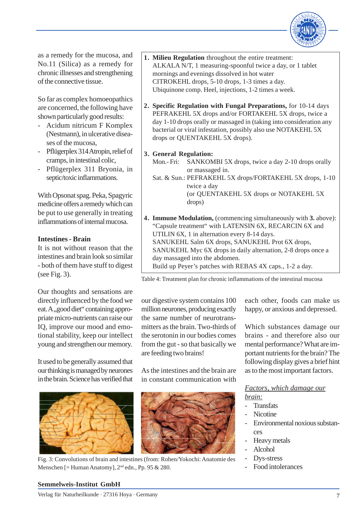

as a remedy for the mucosa, and No.11 (Silica) as a remedy for chronic illnesses and strengthening of the connective tissue.

So far as complex homoeopathics are concerned, the following have shown particularly good results:

- Acidum nitricum F Komplex (Nestmann), in ulcerative diseases of the mucosa,
- Pflügerplex 314 Atropin, relief of cramps, in intestinal colic,
- Pflügerplex 311 Bryonia, in septic/toxic inflammations.

With Opsonat spag. Peka, Spagyric medicine offers a remedy which can be put to use generally in treating inflammations of internal mucosa.

# **Intestines - Brain**

It is not without reason that the intestines and brain look so similar - both of them have stuff to digest (see Fig. 3).

Our thoughts and sensations are directly influenced by the food we eat. A "good diet" containing appropriate micro-nutrients can raise our IQ, improve our mood and emotional stability, keep our intellect young and strengthen our memory.

It used to be generally assumed that our thinking is managed by neurones in the brain. Science has verified that



Fig. 3: Convolutions of brain and intestines (from: Rohen/Yokochi: Anatomie des Menschen [= Human Anatomy],  $2<sup>nd</sup>$  edn., Pp. 95 & 280.

- **1. Milieu Regulation** throughout the entire treatment: ALKALA N/T, 1 measuring-spoonful twice a day, or 1 tablet mornings and evenings dissolved in hot water CITROKEHL drops, 5-10 drops, 1-3 times a day. Ubiquinone comp. Heel, injections, 1-2 times a week.
- **2. Specific Regulation with Fungal Preparations,** for 10-14 days PEFRAKEHL 5X drops and/or FORTAKEHL 5X drops, twice a day 1-10 drops orally or massaged in (taking into consideration any bacterial or viral infestation, possibly also use NOTAKEHL 5X drops or QUENTAKEHL 5X drops).
- **3. General Regulation:**
	- Mon.- Fri: SANKOMBI 5X drops, twice a day 2-10 drops orally or massaged in.
	- Sat. & Sun.: PEFRAKEHL 5X drops/FORTAKEHL 5X drops, 1-10 twice a day (or QUENTAKEHL 5X drops or NOTAKEHL 5X drops)
- **4. Immune Modulation,** (commencing simultaneously with **3.** above): "Capsule treatment" with LATENSIN 6X, RECARCIN 6X and UTILIN 6X, 1 in alternation every 8-14 days. SANUKEHL Salm 6X drops, SANUKEHL Prot 6X drops, SANUKEHL Myc 6X drops in daily alternation, 2-8 drops once a day massaged into the abdomen. Build up Peyer's patches with REBAS 4X caps., 1-2 a day.

Table 4: Treatment plan for chronic inflammations of the intestinal mucosa

our digestive system contains 100 million neurones, producing exactly the same number of neurotransmitters as the brain. Two-thirds of the serotonin in our bodies comes from the gut - so that basically we are feeding two brains!

As the intestines and the brain are in constant communication with



each other, foods can make us happy, or anxious and depressed.

Which substances damage our brains - and therefore also our mental performance? What are important nutrients for the brain? The following display gives a brief hint as to the most important factors.

*Factors, which damage our brain:*

- Transfats
- Nicotine
- Environmental noxious substances
- Heavy metals
- Alcohol
- Dys-stress
- Food intolerances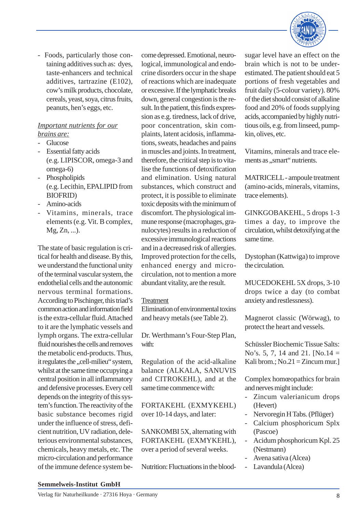

- Foods, particularly those containing additives such as: dyes, taste-enhancers and technical additives, tartrazine (E102), cow's milk products, chocolate, cereals, yeast, soya, citrus fruits, peanuts, hen's eggs, etc.

## *Important nutrients for our brains are:*

- Glucose
- Essential fatty acids (e.g. LIPISCOR, omega-3 and omega-6)
- **Phospholipids** (e.g. Lecithin, EPALIPID from BIOFRID)
- Amino-acids
- Vitamins, minerals, trace elements (e.g. Vit. B complex, Mg, Zn, ...).

The state of basic regulation is critical for health and disease. By this, we understand the functional unity of the terminal vascular system, the endothelial cells and the autonomic nervous terminal formations. According to Pischinger, this triad's common action and information field is the extra-cellular fluid. Attached to it are the lymphatic vessels and lymph organs. The extra-cellular fluid nourishes the cells and removes the metabolic end-products. Thus, it regulates the "cell-milieu" system, whilst at the same time occupying a central position in all inflammatory and defensive processes. Every cell depends on the integrity of this system's function. The reactivity of the basic substance becomes rigid under the influence of stress, deficient nutrition, UV radiation, deleterious environmental substances, chemicals, heavy metals, etc. The micro-circulation and performance of the immune defence system become depressed. Emotional, neurological, immunological and endocrine disorders occur in the shape of reactions which are inadequate or excessive. If the lymphatic breaks down, general congestion is the result. In the patient, this finds expression as e.g. tiredness, lack of drive, poor concentration, skin complaints, latent acidosis, inflammations, sweats, headaches and pains in muscles and joints. In treatment, therefore, the critical step is to vitalise the functions of detoxification and elimination. Using natural substances, which construct and protect, it is possible to eliminate toxic deposits with the minimum of discomfort. The physiological immune response (macrophages, granulocytes) results in a reduction of excessive immunological reactions and in a decreased risk of allergies. Improved protection for the cells, enhanced energy and microcirculation, not to mention a more abundant vitality, are the result.

## **Treatment**

Elimination of environmental toxins and heavy metals (see Table 2).

Dr. Werthmann's Four-Step Plan, with:

Regulation of the acid-alkaline balance (ALKALA, SANUVIS and CITROKEHL), and at the same time commence with:

FORTAKEHL (EXMYKEHL) over 10-14 days, and later:

SANKOMBI 5X, alternating with FORTAKEHL (EXMYKEHL), over a period of several weeks.

Nutrition: Fluctuations in the blood-

sugar level have an effect on the brain which is not to be underestimated. The patient should eat 5 portions of fresh vegetables and fruit daily (5-colour variety). 80% of the diet should consist of alkaline food and 20% of foods supplying acids, accompanied by highly nutritious oils, e.g. from linseed, pumpkin, olives, etc.

Vitamins, minerals and trace elements as "smart" nutrients.

MATRICELL - ampoule treatment (amino-acids, minerals, vitamins, trace elements).

GINKGOBAKEHL, 5 drops 1-3 times a day, to improve the circulation, whilst detoxifying at the same time.

Dystophan (Kattwiga) to improve the circulation.

MUCEDOKEHL 5X drops, 3-10 drops twice a day (to combat anxiety and restlessness).

Magnerot classic (Wörwag), to protect the heart and vessels.

Schüssler Biochemic Tissue Salts: No's. 5, 7, 14 and 21. [No.14 = Kali brom.;  $No.21 = Zincum mur.]$ 

Complex homœopathics for brain and nerves might include:

- Zincum valerianicum drops (Hevert)
- Nervoregin H Tabs. (Pflüger)
- Calcium phosphoricum Splx (Pascoe)
- Acidum phosphoricum Kpl. 25 (Nestmann)
- Avena sativa (Alcea)
- Lavandula (Alcea)